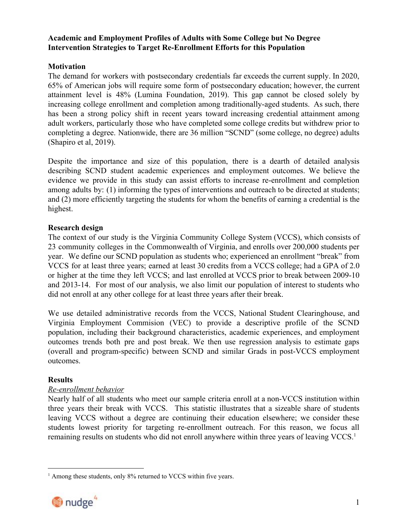# **Academic and Employment Profiles of Adults with Some College but No Degree Intervention Strategies to Target Re-Enrollment Efforts for this Population**

# **Motivation**

The demand for workers with postsecondary credentials far exceeds the current supply. In 2020, 65% of American jobs will require some form of postsecondary education; however, the current attainment level is 48% (Lumina Foundation, 2019). This gap cannot be closed solely by increasing college enrollment and completion among traditionally-aged students. As such, there has been a strong policy shift in recent years toward increasing credential attainment among adult workers, particularly those who have completed some college credits but withdrew prior to completing a degree. Nationwide, there are 36 million "SCND" (some college, no degree) adults (Shapiro et al, 2019).

Despite the importance and size of this population, there is a dearth of detailed analysis describing SCND student academic experiences and employment outcomes. We believe the evidence we provide in this study can assist efforts to increase re-enrollment and completion among adults by: (1) informing the types of interventions and outreach to be directed at students; and (2) more efficiently targeting the students for whom the benefits of earning a credential is the highest.

# **Research design**

The context of our study is the Virginia Community College System (VCCS), which consists of 23 community colleges in the Commonwealth of Virginia, and enrolls over 200,000 students per year. We define our SCND population as students who; experienced an enrollment "break" from VCCS for at least three years; earned at least 30 credits from a VCCS college; had a GPA of 2.0 or higher at the time they left VCCS; and last enrolled at VCCS prior to break between 2009-10 and 2013-14. For most of our analysis, we also limit our population of interest to students who did not enroll at any other college for at least three years after their break.

We use detailed administrative records from the VCCS, National Student Clearinghouse, and Virginia Employment Commision (VEC) to provide a descriptive profile of the SCND population, including their background characteristics, academic experiences, and employment outcomes trends both pre and post break. We then use regression analysis to estimate gaps (overall and program-specific) between SCND and similar Grads in post-VCCS employment outcomes.

## **Results**

# *Re-enrollment behavior*

Nearly half of all students who meet our sample criteria enroll at a non-VCCS institution within three years their break with VCCS. This statistic illustrates that a sizeable share of students leaving VCCS without a degree are continuing their education elsewhere; we consider these students lowest priority for targeting re-enrollment outreach. For this reason, we focus all remaining results on students who did not enroll anywhere within three years of leaving VCCS.<sup>1</sup>

<sup>&</sup>lt;sup>1</sup> Among these students, only 8% returned to VCCS within five years.